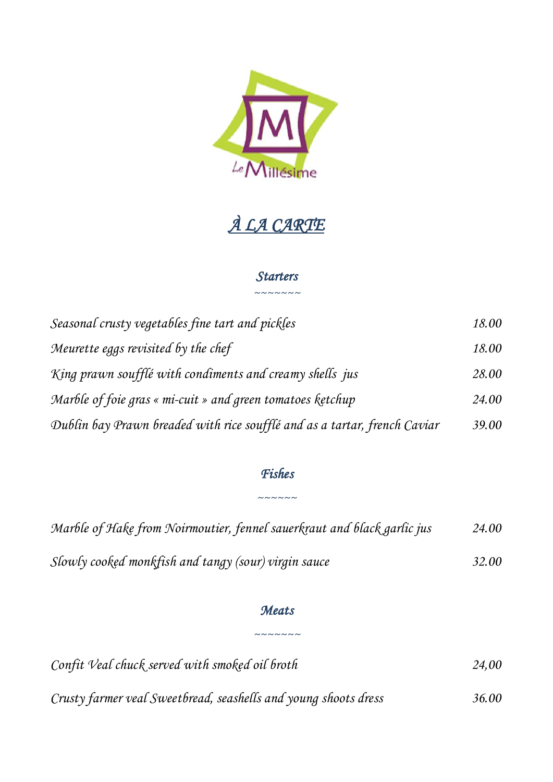

# *À LA CARTE*

## *Starters ~~~~~~~*

| Seasonal crusty vegetables fine tart and pickles                          | 18.00 |
|---------------------------------------------------------------------------|-------|
| Meurette eggs revisited by the chef                                       | 18.00 |
| King prawn soufflé with condiments and creamy shells jus                  | 28.00 |
| Marble of foie gras « mi-cuit » and green tomatoes ketchup                | 24.00 |
| Dublin bay Prawn breaded with rice soufflé and as a tartar, french Caviar | 39.00 |

# *Fishes*

*~~~~~~*

| Marble of Hake from Noirmoutier, fennel sauerkraut and black garlic jus | 24.00 |
|-------------------------------------------------------------------------|-------|
| Slowly cooked monkfish and tangy (sour) virgin sauce                    | 32.00 |

## *Meats*

*~~~~~~~*

| Confit Veal chuck served with smoked oil broth                  | 24.00 |
|-----------------------------------------------------------------|-------|
| Crusty farmer veal Sweetbread, seashells and young shoots dress | 36.00 |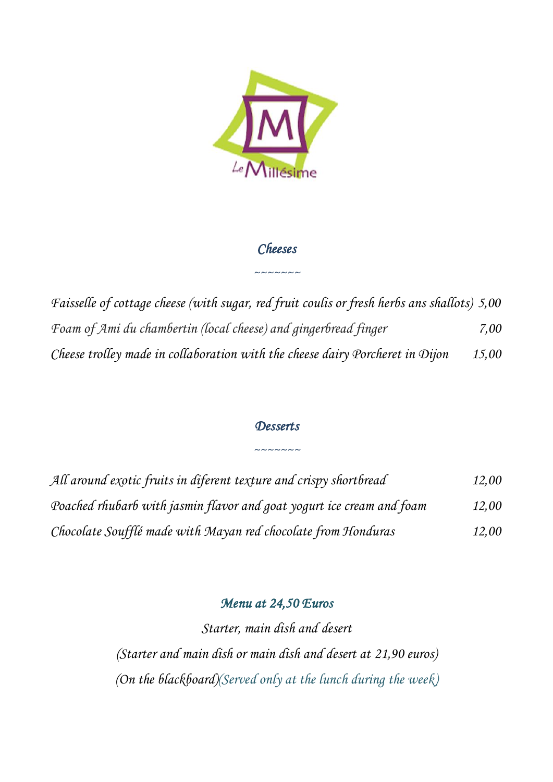

# *Cheeses*

*~~~~~~~*

*Faisselle of cottage cheese (with sugar, red fruit coulis or fresh herbs ans shallots) 5,00 Foam of Ami du chambertin (local cheese) and gingerbread finger 7,00 Cheese trolley made in collaboration with the cheese dairy Porcheret in Dijon 15,00*

## *Desserts*

*~~~~~~~*

| All around exotic fruits in diferent texture and crispy shortbread    | 12,00 |
|-----------------------------------------------------------------------|-------|
| Poached rhubarb with jasmin flavor and goat yogurt ice cream and foam | 12,00 |
| Chocolate Soufflé made with Mayan red chocolate from Honduras         | 12,00 |

## *Menu at 24,50 Euros*

*Starter, main dish and desert (Starter and main dish or main dish and desert at 21,90 euros) (On the blackboard)(Served only at the lunch during the week)*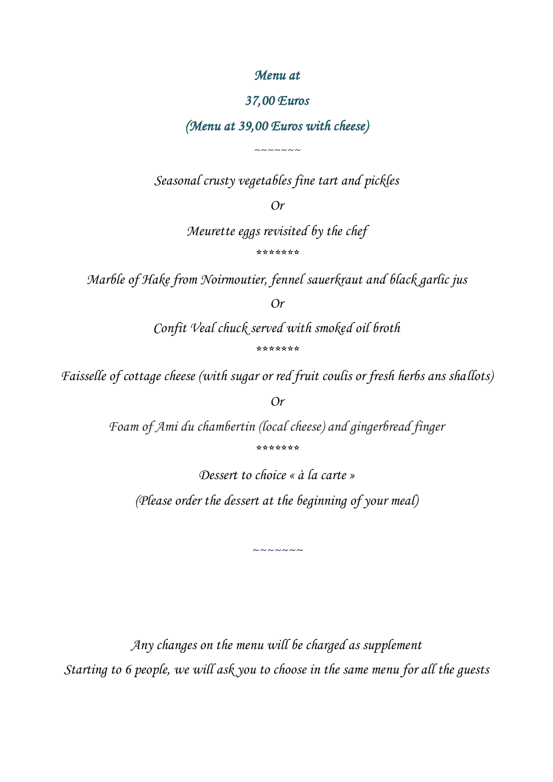### *Menu at*

### *37,00 Euros*

## *(Menu at 39,00 Euros with cheese)*

*~~~~~~~*

*Seasonal crusty vegetables fine tart and pickles*

*Or*

*Meurette eggs revisited by the chef \*\*\*\*\*\*\**

*Marble of Hake from Noirmoutier, fennel sauerkraut and black garlic jus*

*Or*

*Confit Veal chuck served with smoked oil broth*

*\*\*\*\*\*\*\**

*Faisselle of cottage cheese (with sugar or red fruit coulis or fresh herbs ans shallots)*

*Or*

*Foam of Ami du chambertin (local cheese) and gingerbread finger \*\*\*\*\*\*\**

*Dessert to choice « à la carte » (Please order the dessert at the beginning of your meal)*

*~~~~~~~*

*Any changes on the menu will be charged as supplement Starting to 6 people, we will ask you to choose in the same menu for all the guests*